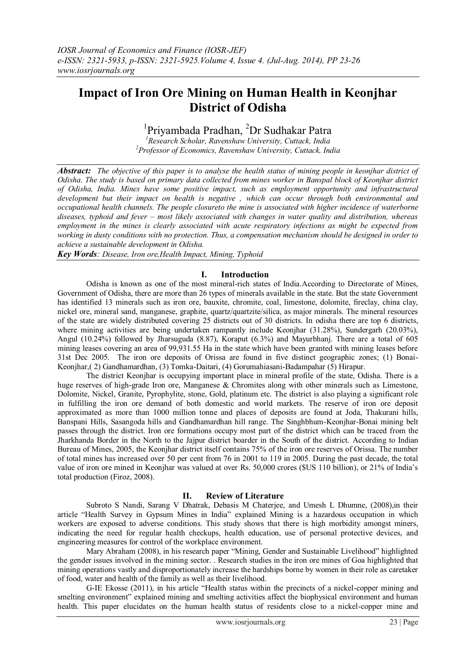# **Impact of Iron Ore Mining on Human Health in Keonjhar District of Odisha**

<sup>1</sup>Priyambada Pradhan, <sup>2</sup>Dr Sudhakar Patra

*<sup>1</sup>Research Scholar, Ravenshaw University, Cuttack, India <sup>2</sup>Professor of Economics, Ravenshaw University, Cuttack, India*

*Abstract: The objective of this paper is to analyse the health status of mining people in keonjhar district of Odisha. The study is based on primary data collected from mines worker in Banspal block of Keonjhar district of Odisha, India. Mines have some positive impact, such as employment opportunity and infrastructural development but their impact on health is negative , which can occur through both environmental and occupational health channels. The people closureto the mine is associated with higher incidence of waterborne diseases, typhoid and fever – most likely associated with changes in water quality and distribution, whereas employment in the mines is clearly associated with acute respiratory infections as might be expected from working in dusty conditions with no protection. Thus, a compensation mechanism should be designed in order to achieve a sustainable development in Odisha.* 

*Key Words: Disease, Iron ore,Health Impact, Mining, Typhoid*

# **I. Introduction**

Odisha is known as one of the most mineral-rich states of India.According to Directorate of Mines, Government of Odisha, there are more than 26 types of minerals available in the state. But the state Government has identified 13 minerals such as iron ore, bauxite, chromite, coal, limestone, dolomite, fireclay, china clay, nickel ore, mineral sand, manganese, graphite, quartz/quartzite/silica, as major minerals. The mineral resources of the state are widely distributed covering 25 districts out of 30 districts. In odisha there are top 6 districts, where mining activities are being undertaken rampantly include Keonjhar (31.28%), Sundergarh (20.03%), Angul (10.24%) followed by Jharsuguda (8.87), Koraput (6.3%) and Mayurbhanj. There are a total of 605 mining leases covering an area of 99,931.55 Ha in the state which have been granted with mining leases before 31st Dec 2005. The iron ore deposits of Orissa are found in five distinct geographic zones; (1) Bonai-Keonjhar,( 2) Gandhamardhan, (3) Tomka-Daitari, (4) Gorumahiasani-Badampahar (5) Hirapur.

The district Keonjhar is occupying important place in mineral profile of the state, Odisha. There is a huge reserves of high-grade Iron ore, Manganese & Chromites along with other minerals such as Limestone, Dolomite, Nickel, Granite, Pyrophylite, stone, Gold, platinum etc. The district is also playing a significant role in fulfilling the iron ore demand of both domestic and world markets. The reserve of iron ore deposit approximated as more than 1000 million tonne and places of deposits are found at Joda, Thakurani hills, Banspani Hills, Sasangoda hills and Gandhamardhan hill range. The Singhbhum-Keonjhar-Bonai mining belt passes through the district. Iron ore formations occupy most part of the district which can be traced from the Jharkhanda Border in the North to the Jajpur district boarder in the South of the district. According to Indian Bureau of Mines, 2005, the Keonjhar district itself contains 75% of the iron ore reserves of Orissa. The number of total mines has increased over 50 per cent from 76 in 2001 to 119 in 2005. During the past decade, the total value of iron ore mined in Keonjhar was valued at over Rs. 50,000 crores (\$US 110 billion), or 21% of India's total production (Firoz, 2008).

# **II. Review of Literature**

Subroto S Nandi, Sarang V Dhatrak, Debasis M Chaterjee, and Umesh L Dhumne, (2008),in their article "Health Survey in Gypsum Mines in India" explained Mining is a hazardous occupation in which workers are exposed to adverse conditions. This study shows that there is high morbidity amongst miners, indicating the need for regular health checkups, health education, use of personal protective devices, and engineering measures for control of the workplace environment.

Mary Abraham (2008), in his research paper "Mining, Gender and Sustainable Livelihood" highlighted the gender issues involved in the mining sector. . Research studies in the iron ore mines of Goa highlighted that mining operations vastly and disproportionately increase the hardships borne by women in their role as caretaker of food, water and health of the family as well as their livelihood.

G-IE Ekosse (2011), in his article "Health status within the precincts of a nickel-copper mining and smelting environment" explained mining and smelting activities affect the biophysical environment and human health. This paper elucidates on the human health status of residents close to a nickel-copper mine and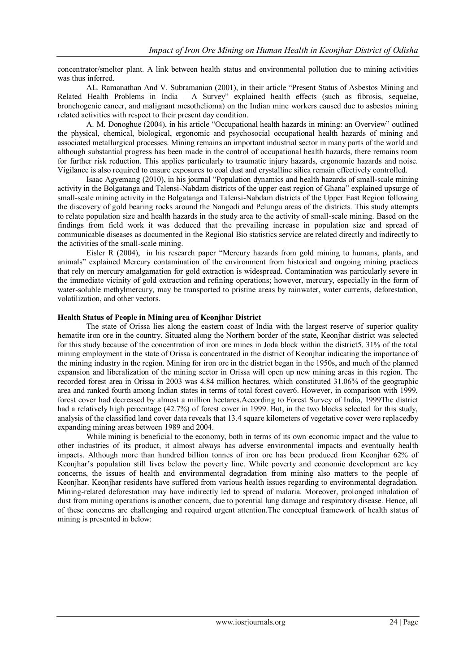concentrator/smelter plant. A link between health status and environmental pollution due to mining activities was thus inferred.

AL. Ramanathan And V. Subramanian (2001), in their article "Present Status of Asbestos Mining and Related Health Problems in India —A Survey" explained health effects (such as fibrosis, sequelae, bronchogenic cancer, and malignant mesothelioma) on the Indian mine workers caused due to asbestos mining related activities with respect to their present day condition.

A. M. Donoghue (2004), in his article "Occupational health hazards in mining: an Overview" outlined the physical, chemical, biological, ergonomic and psychosocial occupational health hazards of mining and associated metallurgical processes. Mining remains an important industrial sector in many parts of the world and although substantial progress has been made in the control of occupational health hazards, there remains room for further risk reduction. This applies particularly to traumatic injury hazards, ergonomic hazards and noise. Vigilance is also required to ensure exposures to coal dust and crystalline silica remain effectively controlled.

Isaac Agyemang (2010), in his journal "Population dynamics and health hazards of small-scale mining activity in the Bolgatanga and Talensi-Nabdam districts of the upper east region of Ghana" explained upsurge of small-scale mining activity in the Bolgatanga and Talensi-Nabdam districts of the Upper East Region following the discovery of gold bearing rocks around the Nangodi and Pelungu areas of the districts. This study attempts to relate population size and health hazards in the study area to the activity of small-scale mining. Based on the findings from field work it was deduced that the prevailing increase in population size and spread of communicable diseases as documented in the Regional Bio statistics service are related directly and indirectly to the activities of the small-scale mining.

[Eisler R](http://www.ncbi.nlm.nih.gov/pubmed?term=%22Eisler%20R%22%5BAuthor%5D)  $(2004)$ , in his research paper "Mercury hazards from gold mining to humans, plants, and animals‖ explained Mercury contamination of the environment from historical and ongoing mining practices that rely on mercury amalgamation for gold extraction is widespread. Contamination was particularly severe in the immediate vicinity of gold extraction and refining operations; however, mercury, especially in the form of water-soluble methylmercury, may be transported to pristine areas by rainwater, water currents, deforestation, volatilization, and other vectors.

#### **Health Status of People in Mining area of Keonjhar District**

The state of Orissa lies along the eastern coast of India with the largest reserve of superior quality hematite iron ore in the country. Situated along the Northern border of the state, Keonjhar district was selected for this study because of the concentration of iron ore mines in Joda block within the district5. 31% of the total mining employment in the state of Orissa is concentrated in the district of Keonjhar indicating the importance of the mining industry in the region. Mining for iron ore in the district began in the 1950s, and much of the planned expansion and liberalization of the mining sector in Orissa will open up new mining areas in this region. The recorded forest area in Orissa in 2003 was 4.84 million hectares, which constituted 31.06% of the geographic area and ranked fourth among Indian states in terms of total forest cover6. However, in comparison with 1999, forest cover had decreased by almost a million hectares.According to Forest Survey of India, 1999The district had a relatively high percentage (42.7%) of forest cover in 1999. But, in the two blocks selected for this study, analysis of the classified land cover data reveals that 13.4 square kilometers of vegetative cover were replacedby expanding mining areas between 1989 and 2004.

While mining is beneficial to the economy, both in terms of its own economic impact and the value to other industries of its product, it almost always has adverse environmental impacts and eventually health impacts. Although more than hundred billion tonnes of iron ore has been produced from Keonjhar 62% of Keonjhar's population still lives below the poverty line. While poverty and economic development are key concerns, the issues of health and environmental degradation from mining also matters to the people of Keonjhar. Keonjhar residents have suffered from various health issues regarding to environmental degradation. Mining-related deforestation may have indirectly led to spread of malaria. Moreover, prolonged inhalation of dust from mining operations is another concern, due to potential lung damage and respiratory disease. Hence, all of these concerns are challenging and required urgent attention.The conceptual framework of health status of mining is presented in below: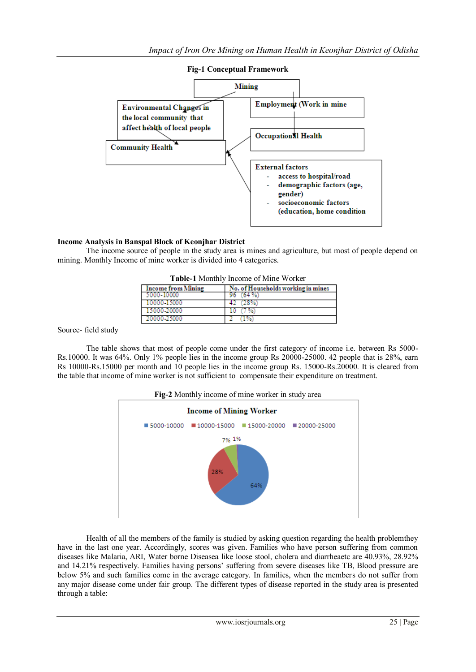

#### **Fig-1 Conceptual Framework**

# **Income Analysis in Banspal Block of Keonjhar District**

The income source of people in the study area is mines and agriculture, but most of people depend on mining. Monthly Income of mine worker is divided into 4 categories.

| <b>Income from Mining</b> | No. of Households working in mines |  |  |
|---------------------------|------------------------------------|--|--|
| 5000-10000                |                                    |  |  |
| 10000-15000               |                                    |  |  |
| 15000-20000               |                                    |  |  |
| 20000-25000               |                                    |  |  |

Source- field study

The table shows that most of people come under the first category of income i.e. between Rs 5000- Rs.10000. It was 64%. Only 1% people lies in the income group Rs 20000-25000. 42 people that is 28%, earn Rs 10000-Rs.15000 per month and 10 people lies in the income group Rs. 15000-Rs.20000. It is cleared from the table that income of mine worker is not sufficient to compensate their expenditure on treatment.

**Fig-2** Monthly income of mine worker in study area



Health of all the members of the family is studied by asking question regarding the health problemthey have in the last one year. Accordingly, scores was given. Families who have person suffering from common diseases like Malaria, ARI, Water borne Diseasea like loose stool, cholera and diarrheaetc are 40.93%, 28.92% and 14.21% respectively. Families having persons' suffering from severe diseases like TB, Blood pressure are below 5% and such families come in the average category. In families, when the members do not suffer from any major disease come under fair group. The different types of disease reported in the study area is presented through a table: